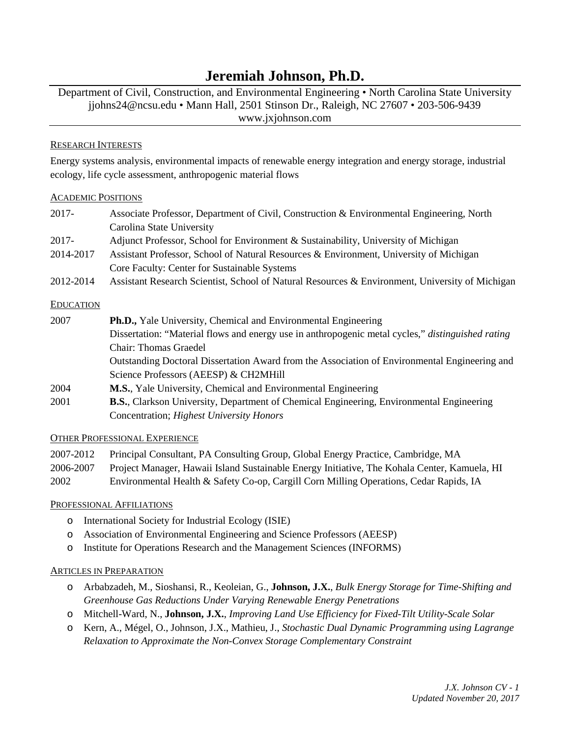# **Jeremiah Johnson, Ph.D.**

Department of Civil, Construction, and Environmental Engineering • North Carolina State University jjohns24@ncsu.edu • Mann Hall, 2501 Stinson Dr., Raleigh, NC 27607 • 203-506-9439 www.jxjohnson.com

## RESEARCH INTERESTS

Energy systems analysis, environmental impacts of renewable energy integration and energy storage, industrial ecology, life cycle assessment, anthropogenic material flows

#### ACADEMIC POSITIONS

| 2017-            | Associate Professor, Department of Civil, Construction & Environmental Engineering, North         |
|------------------|---------------------------------------------------------------------------------------------------|
|                  | Carolina State University                                                                         |
| 2017-            | Adjunct Professor, School for Environment & Sustainability, University of Michigan                |
| 2014-2017        | Assistant Professor, School of Natural Resources & Environment, University of Michigan            |
|                  | Core Faculty: Center for Sustainable Systems                                                      |
| 2012-2014        | Assistant Research Scientist, School of Natural Resources & Environment, University of Michigan   |
| <b>EDUCATION</b> |                                                                                                   |
| 2007             | <b>Ph.D.,</b> Yale University, Chemical and Environmental Engineering                             |
|                  | Dissertation: "Material flows and energy use in anthropogenic metal cycles," distinguished rating |
|                  | Chair: Thomas Graedel                                                                             |
|                  | Outstanding Doctoral Dissertation Award from the Association of Environmental Engineering and     |
|                  | Science Professors (AEESP) & CH2MHill                                                             |
| 2004             | M.S., Yale University, Chemical and Environmental Engineering                                     |
| 2001             | <b>B.S.</b> , Clarkson University, Department of Chemical Engineering, Environmental Engineering  |
|                  | Concentration; Highest University Honors                                                          |

# OTHER PROFESSIONAL EXPERIENCE

| 2007-2012 | Principal Consultant, PA Consulting Group, Global Energy Practice, Cambridge, MA             |
|-----------|----------------------------------------------------------------------------------------------|
| 2006-2007 | Project Manager, Hawaii Island Sustainable Energy Initiative, The Kohala Center, Kamuela, HI |
| 2002      | Environmental Health & Safety Co-op, Cargill Corn Milling Operations, Cedar Rapids, IA       |

# PROFESSIONAL AFFILIATIONS

- o International Society for Industrial Ecology (ISIE)
- o Association of Environmental Engineering and Science Professors (AEESP)
- o Institute for Operations Research and the Management Sciences (INFORMS)

# ARTICLES IN PREPARATION

- o Arbabzadeh, M., Sioshansi, R., Keoleian, G., **Johnson, J.X.**, *Bulk Energy Storage for Time-Shifting and Greenhouse Gas Reductions Under Varying Renewable Energy Penetrations*
- o Mitchell-Ward, N., **Johnson, J.X.**, *Improving Land Use Efficiency for Fixed-Tilt Utility-Scale Solar*
- o Kern, A., Mégel, O., Johnson, J.X., Mathieu, J., *Stochastic Dual Dynamic Programming using Lagrange Relaxation to Approximate the Non-Convex Storage Complementary Constraint*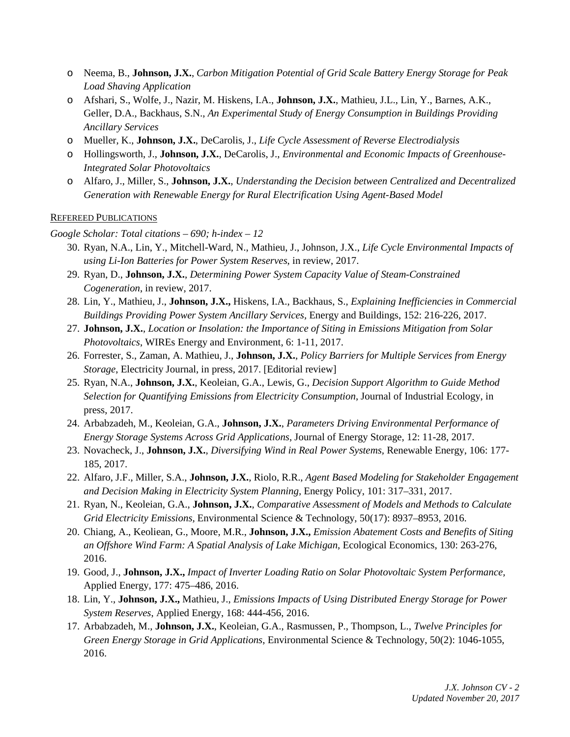- o Neema, B., **Johnson, J.X.**, *Carbon Mitigation Potential of Grid Scale Battery Energy Storage for Peak Load Shaving Application*
- o Afshari, S., Wolfe, J., Nazir, M. Hiskens, I.A., **Johnson, J.X.**, Mathieu, J.L., Lin, Y., Barnes, A.K., Geller, D.A., Backhaus, S.N., *An Experimental Study of Energy Consumption in Buildings Providing Ancillary Services*
- o Mueller, K., **Johnson, J.X.**, DeCarolis, J., *Life Cycle Assessment of Reverse Electrodialysis*
- o Hollingsworth, J., **Johnson, J.X.**, DeCarolis, J., *Environmental and Economic Impacts of Greenhouse-Integrated Solar Photovoltaics*
- o Alfaro, J., Miller, S., **Johnson, J.X.**, *Understanding the Decision between Centralized and Decentralized Generation with Renewable Energy for Rural Electrification Using Agent-Based Model*

#### REFEREED PUBLICATIONS

*Google Scholar: Total citations – 690; h-index – 12*

- 30. Ryan, N.A., Lin, Y., Mitchell-Ward, N., Mathieu, J., Johnson, J.X., *Life Cycle Environmental Impacts of using Li-Ion Batteries for Power System Reserves*, in review, 2017.
- 29. Ryan, D., **Johnson, J.X.**, *Determining Power System Capacity Value of Steam-Constrained Cogeneration*, in review, 2017.
- 28. Lin, Y., Mathieu, J., **Johnson, J.X.,** Hiskens, I.A., Backhaus, S., *Explaining Inefficiencies in Commercial Buildings Providing Power System Ancillary Services,* Energy and Buildings, 152: 216-226, 2017.
- 27. **Johnson, J.X.**, *Location or Insolation: the Importance of Siting in Emissions Mitigation from Solar Photovoltaics*, WIREs Energy and Environment, 6: 1-11, 2017.
- 26. Forrester, S., Zaman, A. Mathieu, J., **Johnson, J.X.**, *Policy Barriers for Multiple Services from Energy Storage*, Electricity Journal, in press, 2017. [Editorial review]
- 25. Ryan, N.A., **Johnson, J.X.**, Keoleian, G.A., Lewis, G., *Decision Support Algorithm to Guide Method Selection for Quantifying Emissions from Electricity Consumption*, Journal of Industrial Ecology, in press, 2017.
- 24. Arbabzadeh, M., Keoleian, G.A., **Johnson, J.X.**, *Parameters Driving Environmental Performance of Energy Storage Systems Across Grid Applications*, Journal of Energy Storage, 12: 11-28, 2017.
- 23. Novacheck, J., **Johnson, J.X.**, *Diversifying Wind in Real Power Systems,* Renewable Energy, 106: 177- 185, 2017.
- 22. Alfaro, J.F., Miller, S.A., **Johnson, J.X.**, Riolo, R.R., *Agent Based Modeling for Stakeholder Engagement and Decision Making in Electricity System Planning,* Energy Policy, 101: 317–331, 2017.
- 21. Ryan, N., Keoleian, G.A., **Johnson, J.X.**, *Comparative Assessment of Models and Methods to Calculate Grid Electricity Emissions,* Environmental Science & Technology, 50(17): 8937–8953, 2016.
- 20. Chiang, A., Keoliean, G., Moore, M.R., **Johnson, J.X.,** *Emission Abatement Costs and Benefits of Siting an Offshore Wind Farm: A Spatial Analysis of Lake Michigan*, Ecological Economics, 130: 263-276, 2016.
- 19. Good, J., **Johnson, J.X.,** *Impact of Inverter Loading Ratio on Solar Photovoltaic System Performance,*  Applied Energy, 177: 475–486, 2016.
- 18. Lin, Y., **Johnson, J.X.,** Mathieu, J., *Emissions Impacts of Using Distributed Energy Storage for Power System Reserves*, Applied Energy, 168: 444-456, 2016.
- 17. Arbabzadeh, M., **Johnson, J.X.**, Keoleian, G.A., Rasmussen, P., Thompson, L., *Twelve Principles for Green Energy Storage in Grid Applications*, Environmental Science & Technology, 50(2): 1046-1055, 2016.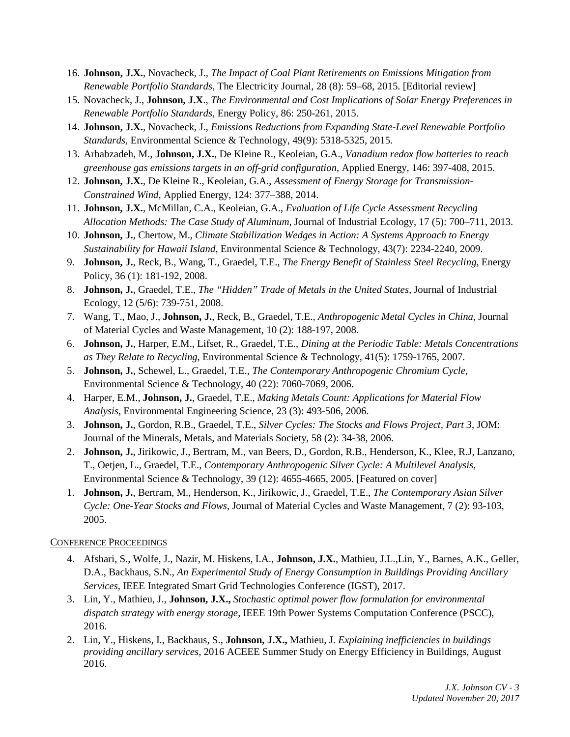- 16. **Johnson, J.X.**, Novacheck, J., *The Impact of Coal Plant Retirements on Emissions Mitigation from Renewable Portfolio Standards*, The Electricity Journal, 28 (8): 59–68, 2015. [Editorial review]
- 15. Novacheck, J., **Johnson, J.X**., *The Environmental and Cost Implications of Solar Energy Preferences in Renewable Portfolio Standards*, Energy Policy, 86: 250-261, 2015.
- 14. **Johnson, J.X.**, Novacheck, J., *Emissions Reductions from Expanding State-Level Renewable Portfolio Standards,* Environmental Science & Technology, 49(9): 5318-5325, 2015.
- 13. Arbabzadeh, M., **Johnson, J.X.**, De Kleine R., Keoleian, G.A., *Vanadium redox flow batteries to reach greenhouse gas emissions targets in an off-grid configuration*, Applied Energy, 146: 397-408, 2015.
- 12. **Johnson, J.X.**, De Kleine R., Keoleian, G.A., *Assessment of Energy Storage for Transmission-Constrained Wind*, Applied Energy, 124: 377–388, 2014.
- 11. **Johnson, J.X.**, McMillan, C.A., Keoleian, G.A., *Evaluation of Life Cycle Assessment Recycling Allocation Methods: The Case Study of Aluminum*, Journal of Industrial Ecology, 17 (5): 700–711, 2013.
- 10. **Johnson, J.**, Chertow, M., *Climate Stabilization Wedges in Action: A Systems Approach to Energy Sustainability for Hawaii Island,* Environmental Science & Technology, 43(7): 2234-2240, 2009.
- 9. **Johnson, J.**, Reck, B., Wang, T., Graedel, T.E., *The Energy Benefit of Stainless Steel Recycling,* Energy Policy, 36 (1): 181-192, 2008.
- 8. **Johnson, J.**, Graedel, T.E., *The "Hidden" Trade of Metals in the United States,* Journal of Industrial Ecology, 12 (5/6): 739-751, 2008.
- 7. Wang, T., Mao, J., **Johnson, J.**, Reck, B., Graedel, T.E., *Anthropogenic Metal Cycles in China,* Journal of Material Cycles and Waste Management, 10 (2): 188-197, 2008.
- 6. **Johnson, J.**, Harper, E.M., Lifset, R., Graedel, T.E., *Dining at the Periodic Table: Metals Concentrations as They Relate to Recycling*, Environmental Science & Technology, 41(5): 1759-1765, 2007.
- 5. **Johnson, J.**, Schewel, L., Graedel, T.E., *The Contemporary Anthropogenic Chromium Cycle*, Environmental Science & Technology, 40 (22): 7060-7069, 2006.
- 4. Harper, E.M., **Johnson, J.**, Graedel, T.E., *Making Metals Count: Applications for Material Flow Analysis*, Environmental Engineering Science, 23 (3): 493-506, 2006.
- 3. **Johnson, J.**, Gordon, R.B., Graedel, T.E., *Silver Cycles: The Stocks and Flows Project, Part 3*, JOM: Journal of the Minerals, Metals, and Materials Society, 58 (2): 34-38, 2006.
- 2. **Johnson, J.**, Jirikowic, J., Bertram, M., van Beers, D., Gordon, R.B., Henderson, K., Klee, R.J, Lanzano, T., Oetjen, L., Graedel, T.E., *Contemporary Anthropogenic Silver Cycle: A Multilevel Analysis*, Environmental Science & Technology, 39 (12): 4655-4665, 2005. [Featured on cover]
- 1. **Johnson, J.**, Bertram, M., Henderson, K., Jirikowic, J., Graedel, T.E., *The Contemporary Asian Silver Cycle: One-Year Stocks and Flows*, Journal of Material Cycles and Waste Management*,* 7 (2): 93-103, 2005.

# CONFERENCE PROCEEDINGS

- 4. Afshari, S., Wolfe, J., Nazir, M. Hiskens, I.A., **Johnson, J.X.**, Mathieu, J.L.,Lin, Y., Barnes, A.K., Geller, D.A., Backhaus, S.N., *An Experimental Study of Energy Consumption in Buildings Providing Ancillary Services*, IEEE Integrated Smart Grid Technologies Conference (IGST), 2017.
- 3. Lin, Y., Mathieu, J., **Johnson, J.X.,** *Stochastic optimal power flow formulation for environmental dispatch strategy with energy storage*, IEEE 19th Power Systems Computation Conference (PSCC), 2016.
- 2. Lin, Y., Hiskens, I., Backhaus, S., **Johnson, J.X.,** Mathieu, J. *Explaining inefficiencies in buildings providing ancillary services*, 2016 ACEEE Summer Study on Energy Efficiency in Buildings, August 2016.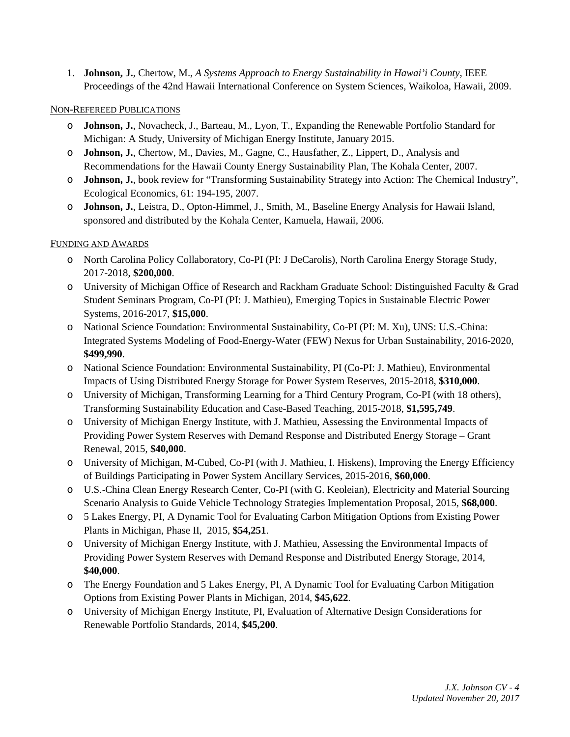1. **Johnson, J.**, Chertow, M., *A Systems Approach to Energy Sustainability in Hawai'i County*, IEEE Proceedings of the 42nd Hawaii International Conference on System Sciences, Waikoloa, Hawaii, 2009.

### NON-REFEREED PUBLICATIONS

- o **Johnson, J.**, Novacheck, J., Barteau, M., Lyon, T., Expanding the Renewable Portfolio Standard for Michigan: A Study, University of Michigan Energy Institute, January 2015.
- o **Johnson, J.**, Chertow, M., Davies, M., Gagne, C., Hausfather, Z., Lippert, D., Analysis and Recommendations for the Hawaii County Energy Sustainability Plan, The Kohala Center, 2007.
- o **Johnson, J.**, book review for "Transforming Sustainability Strategy into Action: The Chemical Industry", Ecological Economics, 61: 194-195, 2007.
- o **Johnson, J.**, Leistra, D., Opton-Himmel, J., Smith, M., Baseline Energy Analysis for Hawaii Island, sponsored and distributed by the Kohala Center, Kamuela, Hawaii, 2006.

# FUNDING AND AWARDS

- o North Carolina Policy Collaboratory, Co-PI (PI: J DeCarolis), North Carolina Energy Storage Study, 2017-2018, **\$200,000**.
- o University of Michigan Office of Research and Rackham Graduate School: Distinguished Faculty & Grad Student Seminars Program, Co-PI (PI: J. Mathieu), Emerging Topics in Sustainable Electric Power Systems, 2016-2017, **\$15,000**.
- o National Science Foundation: Environmental Sustainability, Co-PI (PI: M. Xu), UNS: U.S.-China: Integrated Systems Modeling of Food-Energy-Water (FEW) Nexus for Urban Sustainability, 2016-2020, **\$499,990**.
- o National Science Foundation: Environmental Sustainability, PI (Co-PI: J. Mathieu), Environmental Impacts of Using Distributed Energy Storage for Power System Reserves, 2015-2018, **\$310,000**.
- o University of Michigan, Transforming Learning for a Third Century Program, Co-PI (with 18 others), Transforming Sustainability Education and Case-Based Teaching, 2015-2018, **\$1,595,749**.
- o University of Michigan Energy Institute, with J. Mathieu, Assessing the Environmental Impacts of Providing Power System Reserves with Demand Response and Distributed Energy Storage – Grant Renewal, 2015, **\$40,000**.
- o University of Michigan, M-Cubed, Co-PI (with J. Mathieu, I. Hiskens), Improving the Energy Efficiency of Buildings Participating in Power System Ancillary Services, 2015-2016, **\$60,000**.
- o U.S.-China Clean Energy Research Center, Co-PI (with G. Keoleian), Electricity and Material Sourcing Scenario Analysis to Guide Vehicle Technology Strategies Implementation Proposal, 2015, **\$68,000**.
- o 5 Lakes Energy, PI, A Dynamic Tool for Evaluating Carbon Mitigation Options from Existing Power Plants in Michigan, Phase II, 2015, **\$54,251**.
- o University of Michigan Energy Institute, with J. Mathieu, Assessing the Environmental Impacts of Providing Power System Reserves with Demand Response and Distributed Energy Storage, 2014, **\$40,000**.
- o The Energy Foundation and 5 Lakes Energy, PI, A Dynamic Tool for Evaluating Carbon Mitigation Options from Existing Power Plants in Michigan, 2014, **\$45,622**.
- o University of Michigan Energy Institute, PI, Evaluation of Alternative Design Considerations for Renewable Portfolio Standards, 2014, **\$45,200**.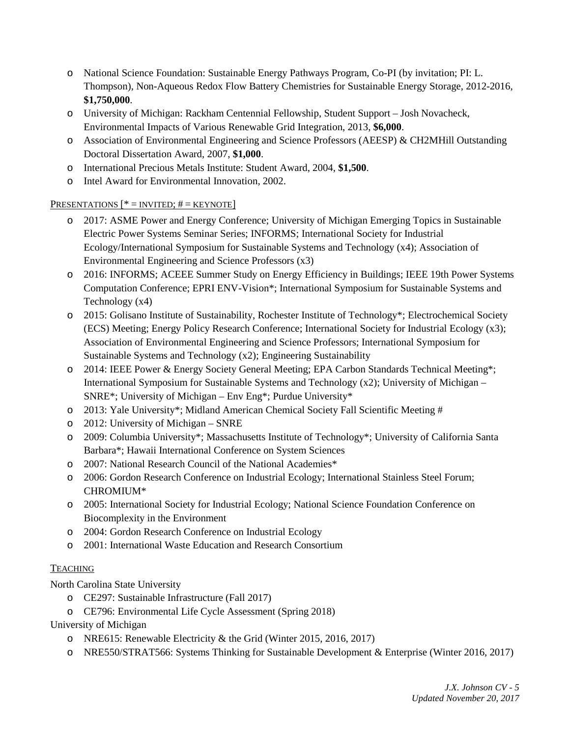- o National Science Foundation: Sustainable Energy Pathways Program, Co-PI (by invitation; PI: L. Thompson), Non-Aqueous Redox Flow Battery Chemistries for Sustainable Energy Storage, 2012-2016, **\$1,750,000**.
- o University of Michigan: Rackham Centennial Fellowship, Student Support Josh Novacheck, Environmental Impacts of Various Renewable Grid Integration, 2013, **\$6,000**.
- o Association of Environmental Engineering and Science Professors (AEESP) & CH2MHill Outstanding Doctoral Dissertation Award, 2007, **\$1,000**.
- o International Precious Metals Institute: Student Award, 2004, **\$1,500**.
- o Intel Award for Environmental Innovation, 2002.

# PRESENTATIONS  $[*=$  INVITED;  $# =$  KEYNOTE]

- o 2017: ASME Power and Energy Conference; University of Michigan Emerging Topics in Sustainable Electric Power Systems Seminar Series; INFORMS; International Society for Industrial Ecology/International Symposium for Sustainable Systems and Technology (x4); Association of Environmental Engineering and Science Professors (x3)
- o 2016: INFORMS; ACEEE Summer Study on Energy Efficiency in Buildings; IEEE 19th Power Systems Computation Conference; EPRI ENV-Vision\*; International Symposium for Sustainable Systems and Technology (x4)
- o 2015: Golisano Institute of Sustainability, Rochester Institute of Technology\*; Electrochemical Society (ECS) Meeting; Energy Policy Research Conference; International Society for Industrial Ecology (x3); Association of Environmental Engineering and Science Professors; International Symposium for Sustainable Systems and Technology (x2); Engineering Sustainability
- o 2014: IEEE Power & Energy Society General Meeting; EPA Carbon Standards Technical Meeting\*; International Symposium for Sustainable Systems and Technology (x2); University of Michigan – SNRE\*; University of Michigan – Env Eng\*; Purdue University\*
- o 2013: Yale University\*; Midland American Chemical Society Fall Scientific Meeting #
- o 2012: University of Michigan SNRE
- o 2009: Columbia University\*; Massachusetts Institute of Technology\*; University of California Santa Barbara\*; Hawaii International Conference on System Sciences
- o 2007: National Research Council of the National Academies\*
- o 2006: Gordon Research Conference on Industrial Ecology; International Stainless Steel Forum; CHROMIUM\*
- o 2005: International Society for Industrial Ecology; National Science Foundation Conference on Biocomplexity in the Environment
- o 2004: Gordon Research Conference on Industrial Ecology
- o 2001: International Waste Education and Research Consortium

# **TEACHING**

North Carolina State University

- o CE297: Sustainable Infrastructure (Fall 2017)
- o CE796: Environmental Life Cycle Assessment (Spring 2018)

University of Michigan

- o NRE615: Renewable Electricity & the Grid (Winter 2015, 2016, 2017)
- o NRE550/STRAT566: Systems Thinking for Sustainable Development & Enterprise (Winter 2016, 2017)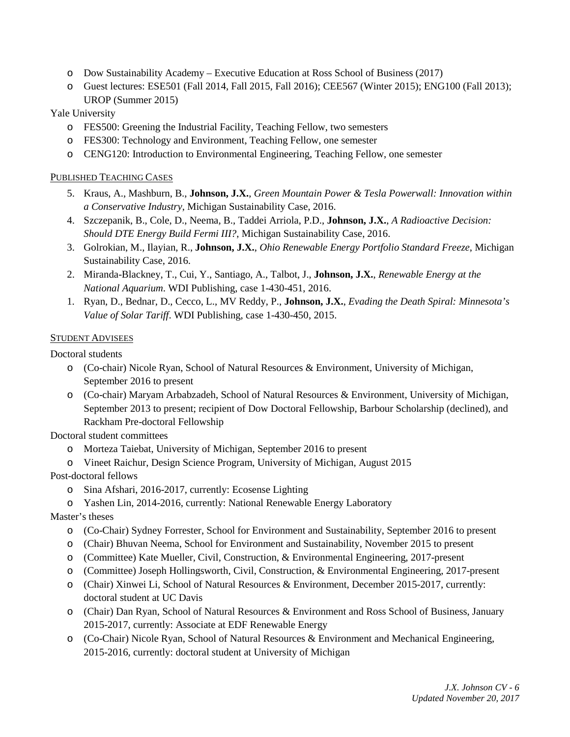- o Dow Sustainability Academy Executive Education at Ross School of Business (2017)
- o Guest lectures: ESE501 (Fall 2014, Fall 2015, Fall 2016); CEE567 (Winter 2015); ENG100 (Fall 2013); UROP (Summer 2015)

# Yale University

- o FES500: Greening the Industrial Facility, Teaching Fellow, two semesters
- o FES300: Technology and Environment, Teaching Fellow, one semester
- o CENG120: Introduction to Environmental Engineering, Teaching Fellow, one semester

# PUBLISHED TEACHING CASES

- 5. Kraus, A., Mashburn, B., **Johnson, J.X.**, *Green Mountain Power & Tesla Powerwall: Innovation within a Conservative Industry*, Michigan Sustainability Case, 2016.
- 4. Szczepanik, B., Cole, D., Neema, B., Taddei Arriola, P.D., **Johnson, J.X.**, *A Radioactive Decision: Should DTE Energy Build Fermi III?*, Michigan Sustainability Case, 2016.
- 3. Golrokian, M., Ilayian, R., **Johnson, J.X.**, *Ohio Renewable Energy Portfolio Standard Freeze*, Michigan Sustainability Case, 2016.
- 2. Miranda-Blackney, T., Cui, Y., Santiago, A., Talbot, J., **Johnson, J.X.**, *Renewable Energy at the National Aquarium*. WDI Publishing, case 1-430-451, 2016.
- 1. Ryan, D., Bednar, D., Cecco, L., MV Reddy, P., **Johnson, J.X.**, *Evading the Death Spiral: Minnesota's Value of Solar Tariff*. WDI Publishing, case 1-430-450, 2015.

### **STUDENT ADVISEES**

Doctoral students

- o (Co-chair) Nicole Ryan, School of Natural Resources & Environment, University of Michigan, September 2016 to present
- o (Co-chair) Maryam Arbabzadeh, School of Natural Resources & Environment, University of Michigan, September 2013 to present; recipient of Dow Doctoral Fellowship, Barbour Scholarship (declined), and Rackham Pre-doctoral Fellowship

Doctoral student committees

- o Morteza Taiebat, University of Michigan, September 2016 to present
- o Vineet Raichur, Design Science Program, University of Michigan, August 2015

# Post-doctoral fellows

- o Sina Afshari, 2016-2017, currently: Ecosense Lighting
- o Yashen Lin, 2014-2016, currently: National Renewable Energy Laboratory

# Master's theses

- o (Co-Chair) Sydney Forrester, School for Environment and Sustainability, September 2016 to present
- o (Chair) Bhuvan Neema, School for Environment and Sustainability, November 2015 to present
- o (Committee) Kate Mueller, Civil, Construction, & Environmental Engineering, 2017-present
- o (Committee) Joseph Hollingsworth, Civil, Construction, & Environmental Engineering, 2017-present
- o (Chair) Xinwei Li, School of Natural Resources & Environment, December 2015-2017, currently: doctoral student at UC Davis
- o (Chair) Dan Ryan, School of Natural Resources & Environment and Ross School of Business, January 2015-2017, currently: Associate at EDF Renewable Energy
- o (Co-Chair) Nicole Ryan, School of Natural Resources & Environment and Mechanical Engineering, 2015-2016, currently: doctoral student at University of Michigan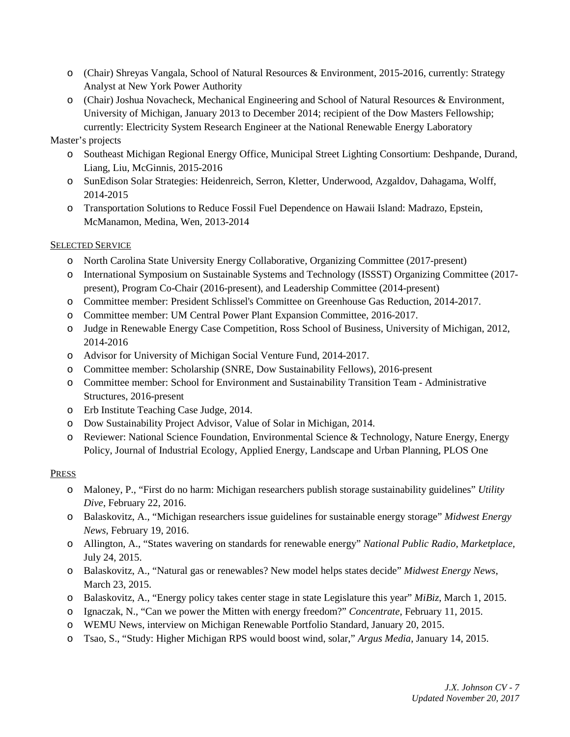- o (Chair) Shreyas Vangala, School of Natural Resources & Environment, 2015-2016, currently: Strategy Analyst at New York Power Authority
- o (Chair) Joshua Novacheck, Mechanical Engineering and School of Natural Resources & Environment, University of Michigan, January 2013 to December 2014; recipient of the Dow Masters Fellowship; currently: Electricity System Research Engineer at the National Renewable Energy Laboratory

# Master's projects

- o Southeast Michigan Regional Energy Office, Municipal Street Lighting Consortium: Deshpande, Durand, Liang, Liu, McGinnis, 2015-2016
- o SunEdison Solar Strategies: Heidenreich, Serron, Kletter, Underwood, Azgaldov, Dahagama, Wolff, 2014-2015
- o Transportation Solutions to Reduce Fossil Fuel Dependence on Hawaii Island: Madrazo, Epstein, McManamon, Medina, Wen, 2013-2014

# SELECTED SERVICE

- o North Carolina State University Energy Collaborative, Organizing Committee (2017-present)
- o International Symposium on Sustainable Systems and Technology (ISSST) Organizing Committee (2017 present), Program Co-Chair (2016-present), and Leadership Committee (2014-present)
- o Committee member: President Schlissel's Committee on Greenhouse Gas Reduction, 2014-2017.
- o Committee member: UM Central Power Plant Expansion Committee, 2016-2017.
- o Judge in Renewable Energy Case Competition, Ross School of Business, University of Michigan, 2012, 2014-2016
- o Advisor for University of Michigan Social Venture Fund, 2014-2017.
- o Committee member: Scholarship (SNRE, Dow Sustainability Fellows), 2016-present
- o Committee member: School for Environment and Sustainability Transition Team Administrative Structures, 2016-present
- o Erb Institute Teaching Case Judge, 2014.
- o Dow Sustainability Project Advisor, Value of Solar in Michigan, 2014.
- o Reviewer: National Science Foundation, Environmental Science & Technology, Nature Energy, Energy Policy, Journal of Industrial Ecology, Applied Energy, Landscape and Urban Planning, PLOS One

# PRESS

- o Maloney, P., "First do no harm: Michigan researchers publish storage sustainability guidelines" *Utility Dive*, February 22, 2016.
- o Balaskovitz, A., "Michigan researchers issue guidelines for sustainable energy storage" *Midwest Energy News*, February 19, 2016.
- o Allington, A., "States wavering on standards for renewable energy" *National Public Radio, Marketplace,*  July 24, 2015.
- o Balaskovitz, A., "Natural gas or renewables? New model helps states decide" *Midwest Energy News*, March 23, 2015.
- o Balaskovitz, A., "Energy policy takes center stage in state Legislature this year" *MiBiz*, March 1, 2015.
- o Ignaczak, N., "Can we power the Mitten with energy freedom?" *Concentrate*, February 11, 2015.
- o WEMU News, interview on Michigan Renewable Portfolio Standard, January 20, 2015.
- o Tsao, S., "Study: Higher Michigan RPS would boost wind, solar," *Argus Media*, January 14, 2015.